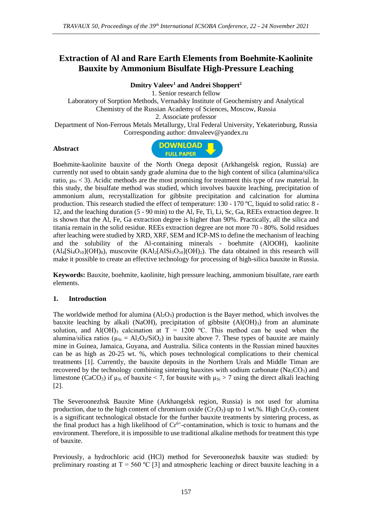# **Extraction of Al and Rare Earth Elements from Boehmite-Kaolinite Bauxite by Ammonium Bisulfate High-Pressure Leaching**

**Dmitry Valeev<sup>1</sup> and Andrei Shoppert<sup>2</sup>**

1. Senior research fellow Laboratory of Sorption Methods, Vernadsky Institute of Geochemistry and Analytical Chemistry of the Russian Academy of Sciences, Moscow, Russia 2. Associate professor Department of Non-Ferrous Metals Metallurgy, Ural Federal University, Yekaterinburg, Russia Corresponding author: dmvaleev@yandex.ru

#### **Abstract**



Boehmite-kaolinite bauxite of the North Onega deposit (Arkhangelsk region, Russia) are currently not used to obtain sandy grade alumina due to the high content of silica (alumina/silica ratio,  $\mu_{Si}$  < 3). Acidic methods are the most promising for treatment this type of raw material. In this study, the bisulfate method was studied, which involves bauxite leaching, precipitation of ammonium alum, recrystallization for gibbsite precipitation and calcination for alumina production. This research studied the effect of temperature: 130 - 170 ºC, liquid to solid ratio: 8 - 12, and the leaching duration (5 - 90 min) to the Al, Fe, Ti, Li, Sc, Ga, REEs extraction degree. It is shown that the Al, Fe, Ga extraction degree is higher than 90%. Practically, all the silica and titania remain in the solid residue. REEs extraction degree are not more 70 - 80%. Solid residues after leaching were studied by XRD, XRF, SEM and ICP-MS to define the mechanism of leaching and the solubility of the Al-containing minerals - boehmite (AlOOH), kaolinite  $(A14[Si_4O_{10}](OH)_8)$ , muscovite  $(KAl_2[AlSi_3O_{10}](OH)_2)$ . The data obtained in this research will make it possible to create an effective technology for processing of high-silica bauxite in Russia.

**Keywords:** Bauxite, boehmite, kaolinite, high pressure leaching, ammonium bisulfate, rare earth elements.

### **1. Introduction**

The worldwide method for alumina  $(Al_2O_3)$  production is the Bayer method, which involves the bauxite leaching by alkali (NaOH), precipitation of gibbsite  $(A(OH)<sub>3</sub>)$  from an aluminate solution, and Al(OH)<sub>3</sub> calcination at  $T = 1200$  °C. This method can be used when the alumina/silica ratios ( $\mu_{Si} = A l_2 O_3 / Si O_2$ ) in bauxite above 7. These types of bauxite are mainly mine in Guinea, Jamaica, Guyana, and Australia. Silica contents in the Russian mined bauxites can be as high as 20-25 wt. %, which poses technological complications to their chemical treatments [1]. Currently, the bauxite deposits in the Northern Urals and Middle Timan are recovered by the technology combining sintering bauxites with sodium carbonate  $(Na_2CO_3)$  and limestone (CaCO<sub>3</sub>) if  $\mu_{Si}$  of bauxite < 7, for bauxite with  $\mu_{Si} > 7$  using the direct alkali leaching [2].

The Severoonezhsk Bauxite Mine (Arkhangelsk region, Russia) is not used for alumina production, due to the high content of chromium oxide  $(Cr_2O_3)$  up to 1 wt.%. High  $Cr_2O_3$  content is a significant technological obstacle for the further bauxite treatments by sintering process, as the final product has a high likelihood of  $Cr<sup>6+</sup>$ -contamination, which is toxic to humans and the environment. Therefore, it is impossible to use traditional alkaline methods for treatment this type of bauxite.

Previously, a hydrochloric acid (HCl) method for Severoonezhsk bauxite was studied: by preliminary roasting at  $T = 560 \degree C$  [3] and atmospheric leaching or direct bauxite leaching in a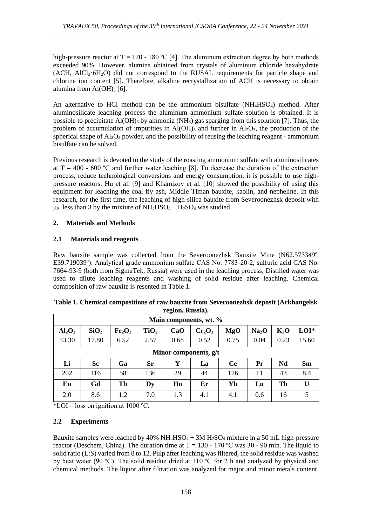high-pressure reactor at  $T = 170 - 180 \degree C$  [4]. The aluminum extraction degree by both methods exceeded 90%. However, alumina obtained from crystals of aluminum chloride hexahydrate  $(ACH, AICI<sub>3</sub>·6H<sub>2</sub>O)$  did not correspond to the RUSAL requirements for particle shape and chlorine ion content [5]. Therefore, alkaline recrystallization of ACH is necessary to obtain alumina from  $\text{Al}(\text{OH})_3$  [6].

An alternative to HCl method can be the ammonium bisulfate (NH4HSO4) method. After aluminosilicate leaching process the aluminum ammonium sulfate solution is obtained. It is possible to precipitate  $AI(OH)$ <sub>3</sub> by ammonia (NH<sub>3</sub>) gas sparging from this solution [7]. Thus, the problem of accumulation of impurities in  $Al(OH)$ <sub>3</sub> and further in  $Al_2O_3$ , the production of the spherical shape of  $A<sub>12</sub>O<sub>3</sub>$  powder, and the possibility of reusing the leaching reagent - ammonium bisulfate can be solved.

Previous research is devoted to the study of the roasting ammonium sulfate with aluminosilicates at  $T = 400 - 600$  °C and further water leaching [8]. To decrease the duration of the extraction process, reduce technological conversions and energy consumption, it is possible to use highpressure reactors. Hu et al. [9] and Khamizov et al. [10] showed the possibility of using this equipment for leaching the coal fly ash, Middle Timan bauxite, kaolin, and nepheline. In this research, for the first time, the leaching of high-silica bauxite from Severoonezhsk deposit with  $\mu_{Si}$  less than 3 by the mixture of NH<sub>4</sub>HSO<sub>4</sub> + H<sub>2</sub>SO<sub>4</sub> was studied.

# **2. Materials and Methods**

# **2.1 Materials and reagents**

Raw bauxite sample was collected from the Severoonezhsk Bauxite Mine (N62.573349º, E39.719039º). Analytical grade ammonium sulfate CAS No. 7783-20-2, sulfuric acid CAS No. 7664-93-9 (both from SigmaTek, Russia) were used in the leaching process. Distilled water was used to dilute leaching reagents and washing of solid residue after leaching. Chemical composition of raw bauxite is resented in Table 1.

| Main components, wt. %         |                  |                                |                  |      |           |      |                   |        |              |  |  |
|--------------------------------|------------------|--------------------------------|------------------|------|-----------|------|-------------------|--------|--------------|--|--|
| Al <sub>2</sub> O <sub>3</sub> | SiO <sub>2</sub> | Fe <sub>2</sub> O <sub>3</sub> | TiO <sub>2</sub> | CaO  | $Cr_2O_3$ | MgO  | Na <sub>2</sub> O | $K_2O$ | $LOI^*$      |  |  |
| 53.30                          | 17.80            | 6.52                           | 2.57             | 0.68 | 0.52      | 0.75 | 0.04              | 0.23   | 15.60        |  |  |
| Minor components, g/t          |                  |                                |                  |      |           |      |                   |        |              |  |  |
| Li                             | <b>Sc</b>        | Ga                             | <b>Sr</b>        | Y    | La        | Ce   | Pr                | Nd     | <b>Sm</b>    |  |  |
| 202                            | 116              | 58                             | 136              | 29   | 44        | 126  | 11                | 43     | 8.4          |  |  |
| Eu                             | Gd               | Tb                             | Dy               | Ho   | Er        | Yb   | Lu                | Th     | $\mathbf{U}$ |  |  |
| 2.0                            | 8.6              | 1.2                            | 7.0              | 1.3  | 4.1       | 4.1  | 0.6               | 16     | 5            |  |  |

| Table 1. Chemical compositions of raw bauxite from Severoonezhsk deposit (Arkhangelsk |
|---------------------------------------------------------------------------------------|
| region, Russia).                                                                      |

\*LOI – loss on ignition at  $1000$  °C.

# **2.2 Experiments**

Bauxite samples were leached by  $40\% \text{ NH}_4\text{HSO}_4 + 3\text{M H}_2\text{SO}_4$  mixture in a 50 mL high-pressure reactor (Deschem, China). The duration time at  $T = 130 - 170$  °C was 30 - 90 min. The liquid to solid ratio (L:S) varied from 8 to 12. Pulp after leaching was filtered, the solid residue was washed by heat water (90 °C). The solid residue dried at 110 °C for 2 h and analyzed by physical and chemical methods. The liquor after filtration was analyzed for major and minor metals content.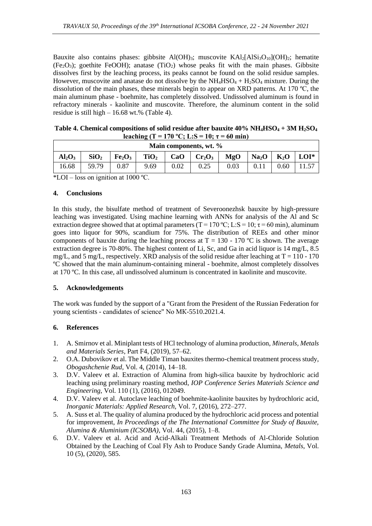Bauxite also contains phases: gibbsite  $A(OH)_{3}$ ; muscovite  $KAl<sub>2</sub>[AIS<sub>13</sub>O<sub>10</sub>](OH)<sub>2</sub>$ ; hematite (Fe<sub>2</sub>O<sub>3</sub>); goethite FeOOH); anatase (TiO<sub>2</sub>) whose peaks fit with the main phases. Gibbsite dissolves first by the leaching process, its peaks cannot be found on the solid residue samples. However, muscovite and anatase do not dissolve by the  $NH_4HSO_4 + H_2SO_4$  mixture. During the dissolution of the main phases, these minerals begin to appear on XRD patterns. At 170 ºC, the main aluminum phase - boehmite, has completely dissolved. Undissolved aluminum is found in refractory minerals - kaolinite and muscovite. Therefore, the aluminum content in the solid residue is still high – 16.68 wt.% (Table 4).

| Table 4. Chemical compositions of solid residue after bauxite $40\% \text{ NH}_4\text{HSO}_4 + 3\text{M H}_2\text{SO}_4$ |
|--------------------------------------------------------------------------------------------------------------------------|
| leaching (T = 170 °C; L:S = 10; $\tau$ = 60 min)                                                                         |

| Main components, wt. % |                  |                                |                  |      |           |      |                   |        |         |  |
|------------------------|------------------|--------------------------------|------------------|------|-----------|------|-------------------|--------|---------|--|
| $Al_2O_3$              | SiO <sub>2</sub> | Fe <sub>2</sub> O <sub>3</sub> | TiO <sub>2</sub> | CaO  | $Cr_2O_3$ | MgO  | Na <sub>2</sub> O | $K_2O$ | $LOI^*$ |  |
| 16.68                  | 59.79            | 0.87                           | 9.69             | 0.02 | 0.25      | 0.03 |                   | 0.60   |         |  |

\*LOI – loss on ignition at  $1000$  °C.

#### **4. Conclusions**

In this study, the bisulfate method of treatment of Severoonezhsk bauxite by high-pressure leaching was investigated. Using machine learning with ANNs for analysis of the Al and Sc extraction degree showed that at optimal parameters (T = 170 °C; L:S = 10;  $\tau$  = 60 min), aluminum goes into liquor for 90%, scandium for 75%. The distribution of REEs and other minor components of bauxite during the leaching process at  $T = 130 - 170$  °C is shown. The average extraction degree is 70-80%. The highest content of Li, Sc, and Ga in acid liquor is 14 mg/L, 8.5 mg/L, and 5 mg/L, respectively. XRD analysis of the solid residue after leaching at  $T = 110 - 170$ ºC showed that the main aluminum-containing mineral - boehmite, almost completely dissolves at 170 ºC. In this case, all undissolved aluminum is concentrated in kaolinite and muscovite.

### **5. Acknowledgements**

The work was funded by the support of a "Grant from the President of the Russian Federation for young scientists - candidates of science" No МК-5510.2021.4.

### **6. References**

- 1. A. Smirnov et al. Miniplant tests of HCl technology of alumina production, *Minerals, Metals and Materials Series*, Part F4, (2019), 57–62.
- 2. O.A. Dubovikov et al. The Middle Timan bauxites thermo-chemical treatment process study, *Obogashchenie Rud*, Vol. 4, (2014), 14–18.
- 3. D.V. Valeev et al. Extraction of Alumina from high-silica bauxite by hydrochloric acid leaching using preliminary roasting method, *IOP Conference Series Materials Science and Engineering*, Vol. 110 (1), (2016), 012049.
- 4. D.V. Valeev et al. Autoclave leaching of boehmite-kaolinite bauxites by hydrochloric acid, *Inorganic Materials: Applied Research*, Vol. 7, (2016), 272–277.
- 5. A. Suss et al. The quality of alumina produced by the hydrochloric acid process and potential for improvement, *In Proceedings of the The International Committee for Study of Bauxite, Alumina & Aluminium (ICSOBA),* Vol. 44, (2015), 1–8.
- 6. D.V. Valeev et al. Acid and Acid-Alkali Treatment Methods of Al-Chloride Solution Obtained by the Leaching of Coal Fly Ash to Produce Sandy Grade Alumina, *Metals*, Vol. 10 (5), (2020), 585.